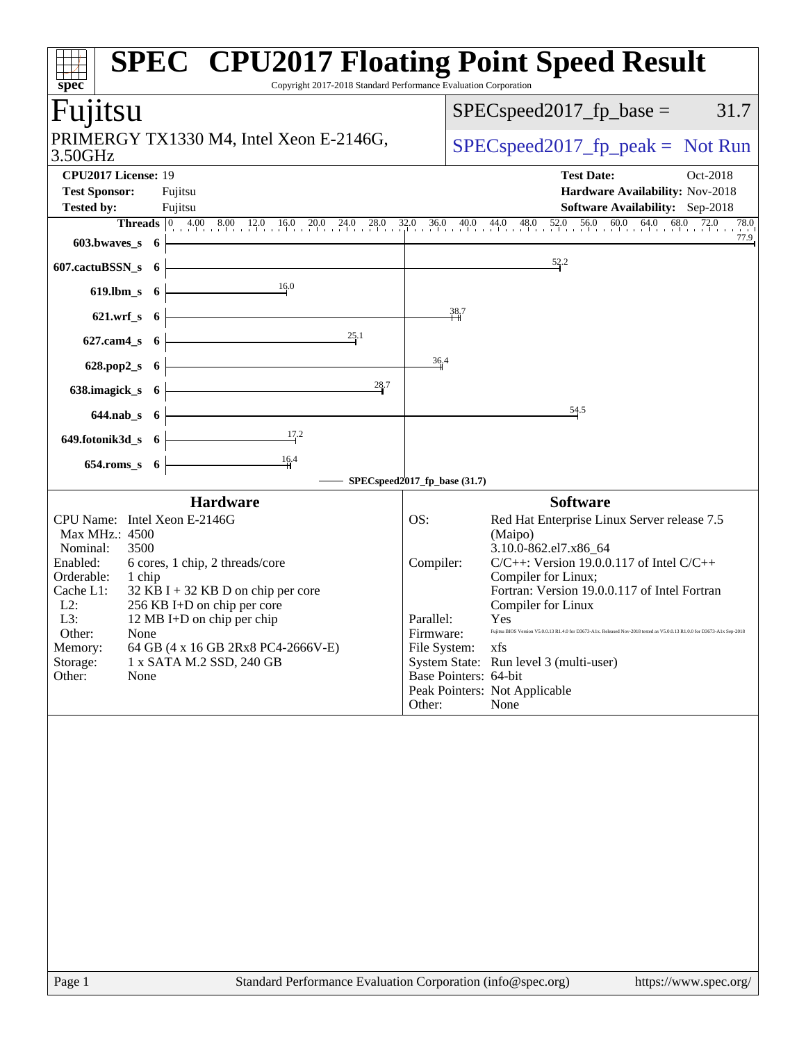| $\overline{\textbf{spec}^*}$                                                                                                                                                                    | <b>SPEC<sup>®</sup> CPU2017 Floating Point Speed Result</b><br>Copyright 2017-2018 Standard Performance Evaluation Corporation                                                                                                                                                                                                                |                                                      |                                           |                                                                                                                                                                                                                                                                                                                                                                                                                                                     |
|-------------------------------------------------------------------------------------------------------------------------------------------------------------------------------------------------|-----------------------------------------------------------------------------------------------------------------------------------------------------------------------------------------------------------------------------------------------------------------------------------------------------------------------------------------------|------------------------------------------------------|-------------------------------------------|-----------------------------------------------------------------------------------------------------------------------------------------------------------------------------------------------------------------------------------------------------------------------------------------------------------------------------------------------------------------------------------------------------------------------------------------------------|
| Fujitsu                                                                                                                                                                                         |                                                                                                                                                                                                                                                                                                                                               |                                                      |                                           | 31.7<br>$SPEC speed2017fp base =$                                                                                                                                                                                                                                                                                                                                                                                                                   |
| 3.50GHz                                                                                                                                                                                         | PRIMERGY TX1330 M4, Intel Xeon E-2146G,                                                                                                                                                                                                                                                                                                       |                                                      |                                           | $SPEC speed2017_fp\_peak = Not Run$                                                                                                                                                                                                                                                                                                                                                                                                                 |
| CPU2017 License: 19<br><b>Test Sponsor:</b><br><b>Tested by:</b>                                                                                                                                | Fujitsu<br>Fujitsu                                                                                                                                                                                                                                                                                                                            |                                                      |                                           | <b>Test Date:</b><br>Oct-2018<br>Hardware Availability: Nov-2018<br><b>Software Availability:</b> Sep-2018                                                                                                                                                                                                                                                                                                                                          |
|                                                                                                                                                                                                 |                                                                                                                                                                                                                                                                                                                                               |                                                      |                                           | <b>Threads</b> 0 4.00 8.00 12.0 16.0 20.0 24.0 28.0 32.0 36.0 40.0 44.0 48.0 52.0 56.0 60.0 64.0 68.0 72.0 78.0<br>78.0                                                                                                                                                                                                                                                                                                                             |
| $603.bwaves$ 6 $\vdash$                                                                                                                                                                         |                                                                                                                                                                                                                                                                                                                                               |                                                      |                                           | 77.9                                                                                                                                                                                                                                                                                                                                                                                                                                                |
| 607.cactuBSSN_s $6 \nmid$                                                                                                                                                                       |                                                                                                                                                                                                                                                                                                                                               |                                                      |                                           | 52.2                                                                                                                                                                                                                                                                                                                                                                                                                                                |
|                                                                                                                                                                                                 | 619.lbm_s 6 $\frac{16.0}{ }$                                                                                                                                                                                                                                                                                                                  |                                                      |                                           |                                                                                                                                                                                                                                                                                                                                                                                                                                                     |
|                                                                                                                                                                                                 | 621.wrf_s $6 \left  \right.$                                                                                                                                                                                                                                                                                                                  |                                                      | 38,7                                      |                                                                                                                                                                                                                                                                                                                                                                                                                                                     |
|                                                                                                                                                                                                 | 627.cam4_s 6 $\overline{\qquad}$ 6 $\overline{\qquad}$ $\qquad$ $\qquad$ $\qquad$ $\qquad$ $\qquad$ $\qquad$ $\qquad$ $\qquad$ $\qquad$ $\qquad$ $\qquad$ $\qquad$ $\qquad$ $\qquad$ $\qquad$ $\qquad$ $\qquad$ $\qquad$ $\qquad$ $\qquad$ $\qquad$ $\qquad$ $\qquad$ $\qquad$ $\qquad$ $\qquad$ $\qquad$ $\qquad$ $\qquad$ $\qquad$ $\qquad$ |                                                      |                                           |                                                                                                                                                                                                                                                                                                                                                                                                                                                     |
|                                                                                                                                                                                                 | 628.pop2_s $6 \left  \right.$                                                                                                                                                                                                                                                                                                                 | 36.4                                                 |                                           |                                                                                                                                                                                                                                                                                                                                                                                                                                                     |
|                                                                                                                                                                                                 | 638.imagick_s $6 \left\downarrow$<br>28.7                                                                                                                                                                                                                                                                                                     |                                                      |                                           |                                                                                                                                                                                                                                                                                                                                                                                                                                                     |
|                                                                                                                                                                                                 | $644.nab_s$ 6                                                                                                                                                                                                                                                                                                                                 |                                                      |                                           | 54.5                                                                                                                                                                                                                                                                                                                                                                                                                                                |
|                                                                                                                                                                                                 | 649.fotonik3d_s 6 $\frac{17.2}{1}$                                                                                                                                                                                                                                                                                                            |                                                      |                                           |                                                                                                                                                                                                                                                                                                                                                                                                                                                     |
| $654$ .roms_s $6$                                                                                                                                                                               | $\frac{16.4}{1}$                                                                                                                                                                                                                                                                                                                              |                                                      |                                           |                                                                                                                                                                                                                                                                                                                                                                                                                                                     |
|                                                                                                                                                                                                 | SPECspeed2017_fp_base (31.7)                                                                                                                                                                                                                                                                                                                  |                                                      |                                           |                                                                                                                                                                                                                                                                                                                                                                                                                                                     |
|                                                                                                                                                                                                 | <b>Hardware</b>                                                                                                                                                                                                                                                                                                                               |                                                      |                                           | <b>Software</b>                                                                                                                                                                                                                                                                                                                                                                                                                                     |
| CPU Name: Intel Xeon E-2146G<br>Max MHz.: 4500<br>Nominal:<br>3500<br>Enabled:<br>Orderable:<br>1 chip<br>Cache L1:<br>$L2$ :<br>L3:<br>Other:<br>None<br>Memory:<br>Storage:<br>Other:<br>None | 6 cores, 1 chip, 2 threads/core<br>$32$ KB I + 32 KB D on chip per core<br>256 KB I+D on chip per core<br>12 MB I+D on chip per chip<br>64 GB (4 x 16 GB 2Rx8 PC4-2666V-E)<br>1 x SATA M.2 SSD, 240 GB                                                                                                                                        | OS:<br>Compiler:<br>Parallel:<br>Firmware:<br>Other: | File System: xfs<br>Base Pointers: 64-bit | Red Hat Enterprise Linux Server release 7.5<br>(Maipo)<br>3.10.0-862.el7.x86_64<br>$C/C++$ : Version 19.0.0.117 of Intel $C/C++$<br>Compiler for Linux;<br>Fortran: Version 19.0.0.117 of Intel Fortran<br>Compiler for Linux<br>Yes<br>Fujitsu BIOS Version V5.0.0.13 R1.4.0 for D3673-A1x. Released Nov-2018 tested as V5.0.0.13 R1.0.0 for D3673-A1x Sep-2018<br>System State: Run level 3 (multi-user)<br>Peak Pointers: Not Applicable<br>None |
| $\mathbf{D}_{\alpha}$                                                                                                                                                                           | Standard Darformange Evaluation Compration (info@ex                                                                                                                                                                                                                                                                                           |                                                      |                                           | $l$ <sub>1</sub> $t$ <sub>120</sub> $l$ / $t$ <sub>2122</sub>                                                                                                                                                                                                                                                                                                                                                                                       |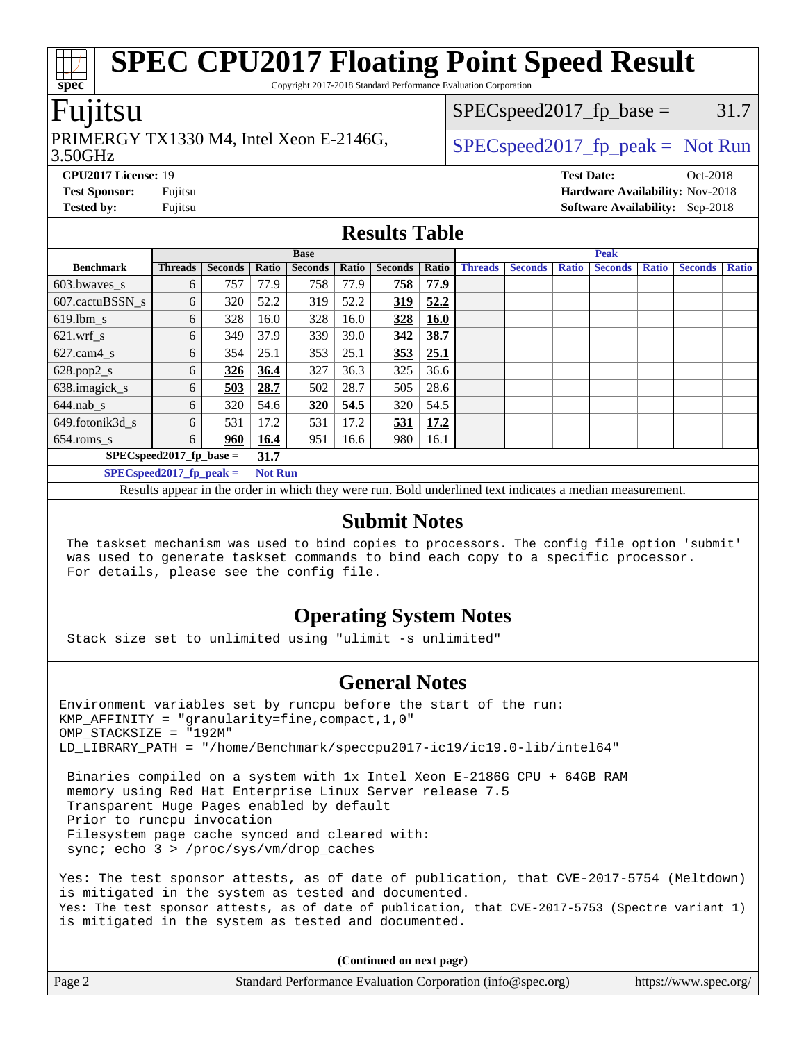Copyright 2017-2018 Standard Performance Evaluation Corporation

### Fujitsu

**[spec](http://www.spec.org/)**

#### 3.50GHz PRIMERGY TX1330 M4, Intel Xeon E-2146G,  $\vert$  [SPECspeed2017\\_fp\\_peak =](http://www.spec.org/auto/cpu2017/Docs/result-fields.html#SPECspeed2017fppeak) Not Run

 $SPEC speed2017_fp\_base = 31.7$ 

**[CPU2017 License:](http://www.spec.org/auto/cpu2017/Docs/result-fields.html#CPU2017License)** 19 **[Test Date:](http://www.spec.org/auto/cpu2017/Docs/result-fields.html#TestDate)** Oct-2018 **[Test Sponsor:](http://www.spec.org/auto/cpu2017/Docs/result-fields.html#TestSponsor)** Fujitsu **[Hardware Availability:](http://www.spec.org/auto/cpu2017/Docs/result-fields.html#HardwareAvailability)** Nov-2018 **[Tested by:](http://www.spec.org/auto/cpu2017/Docs/result-fields.html#Testedby)** Fujitsu **[Software Availability:](http://www.spec.org/auto/cpu2017/Docs/result-fields.html#SoftwareAvailability)** Sep-2018

#### **[Results Table](http://www.spec.org/auto/cpu2017/Docs/result-fields.html#ResultsTable)**

|                            | <b>Base</b>    |                |                |                |       |                | <b>Peak</b> |                |                |              |                |              |                |              |
|----------------------------|----------------|----------------|----------------|----------------|-------|----------------|-------------|----------------|----------------|--------------|----------------|--------------|----------------|--------------|
| <b>Benchmark</b>           | <b>Threads</b> | <b>Seconds</b> | Ratio          | <b>Seconds</b> | Ratio | <b>Seconds</b> | Ratio       | <b>Threads</b> | <b>Seconds</b> | <b>Ratio</b> | <b>Seconds</b> | <b>Ratio</b> | <b>Seconds</b> | <b>Ratio</b> |
| 603.bwayes_s               | 6              | 757            | 77.9           | 758            | 77.9  | 758            | 77.9        |                |                |              |                |              |                |              |
| 607.cactuBSSN s            | 6              | 320            | 52.2           | 319            | 52.2  | 319            | 52.2        |                |                |              |                |              |                |              |
| $619.$ lbm_s               | 6              | 328            | 16.0           | 328            | 16.0  | 328            | <b>16.0</b> |                |                |              |                |              |                |              |
| $621$ wrf s                | 6              | 349            | 37.9           | 339            | 39.0  | 342            | 38.7        |                |                |              |                |              |                |              |
| $627$ .cam $4 \text{ s}$   | 6              | 354            | 25.1           | 353            | 25.1  | 353            | 25.1        |                |                |              |                |              |                |              |
| $628.pop2_s$               | 6              | 326            | 36.4           | 327            | 36.3  | 325            | 36.6        |                |                |              |                |              |                |              |
| 638.imagick_s              | 6              | 503            | 28.7           | 502            | 28.7  | 505            | 28.6        |                |                |              |                |              |                |              |
| $644$ .nab s               | 6              | 320            | 54.6           | 320            | 54.5  | 320            | 54.5        |                |                |              |                |              |                |              |
| 649.fotonik3d s            | 6              | 531            | 17.2           | 531            | 17.2  | 531            | 17.2        |                |                |              |                |              |                |              |
| $654$ .roms s              | 6              | 960            | 16.4           | 951            | 16.6  | 980            | 16.1        |                |                |              |                |              |                |              |
| $SPEC speed2017$ fp base = |                |                | 31.7           |                |       |                |             |                |                |              |                |              |                |              |
| $SPECspeed2017_fp\_peak =$ |                |                | <b>Not Run</b> |                |       |                |             |                |                |              |                |              |                |              |

Results appear in the [order in which they were run.](http://www.spec.org/auto/cpu2017/Docs/result-fields.html#RunOrder) Bold underlined text [indicates a median measurement.](http://www.spec.org/auto/cpu2017/Docs/result-fields.html#Median)

#### **[Submit Notes](http://www.spec.org/auto/cpu2017/Docs/result-fields.html#SubmitNotes)**

 The taskset mechanism was used to bind copies to processors. The config file option 'submit' was used to generate taskset commands to bind each copy to a specific processor. For details, please see the config file.

### **[Operating System Notes](http://www.spec.org/auto/cpu2017/Docs/result-fields.html#OperatingSystemNotes)**

Stack size set to unlimited using "ulimit -s unlimited"

### **[General Notes](http://www.spec.org/auto/cpu2017/Docs/result-fields.html#GeneralNotes)**

Environment variables set by runcpu before the start of the run: KMP AFFINITY = "granularity=fine, compact,  $1,0$ " OMP\_STACKSIZE = "192M" LD\_LIBRARY\_PATH = "/home/Benchmark/speccpu2017-ic19/ic19.0-lib/intel64"

 Binaries compiled on a system with 1x Intel Xeon E-2186G CPU + 64GB RAM memory using Red Hat Enterprise Linux Server release 7.5 Transparent Huge Pages enabled by default Prior to runcpu invocation Filesystem page cache synced and cleared with: sync; echo 3 > /proc/sys/vm/drop\_caches

Yes: The test sponsor attests, as of date of publication, that CVE-2017-5754 (Meltdown) is mitigated in the system as tested and documented. Yes: The test sponsor attests, as of date of publication, that CVE-2017-5753 (Spectre variant 1) is mitigated in the system as tested and documented.

**(Continued on next page)**

| Page 2 | Standard Performance Evaluation Corporation (info@spec.org) | https://www.spec.org/ |
|--------|-------------------------------------------------------------|-----------------------|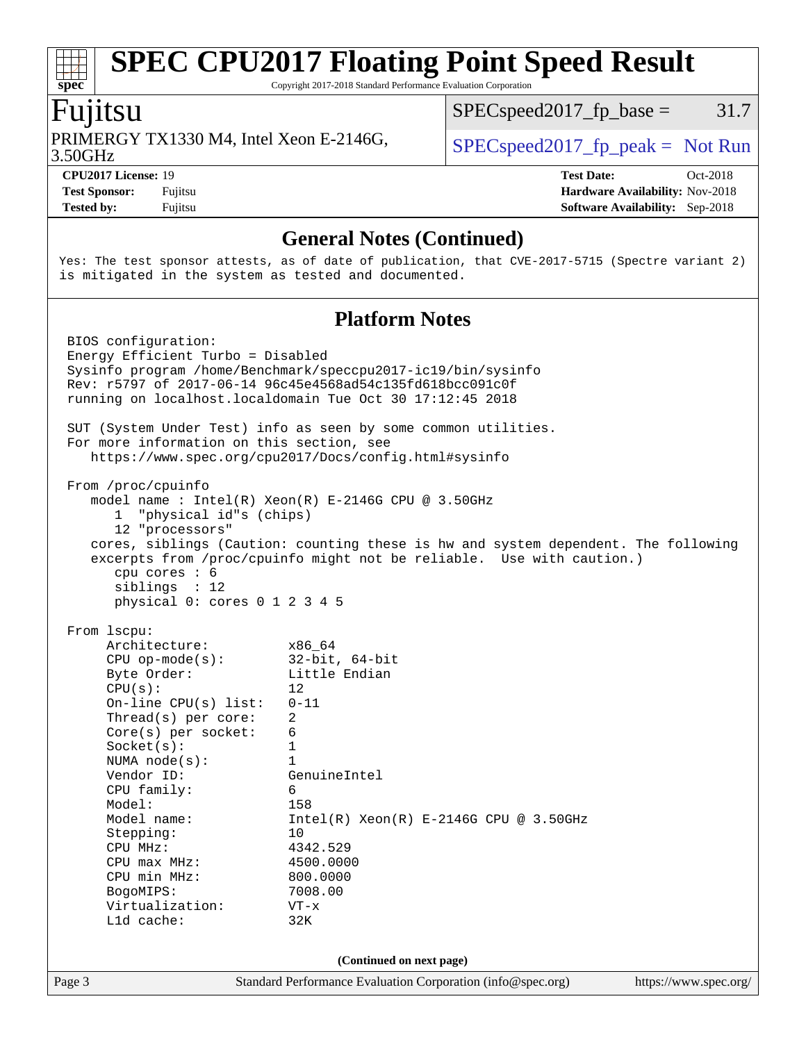Copyright 2017-2018 Standard Performance Evaluation Corporation

### Fujitsu

**[spec](http://www.spec.org/)**

3.50GHz PRIMERGY TX1330 M4, Intel Xeon E-2146G,  $\vert$  [SPECspeed2017\\_fp\\_peak =](http://www.spec.org/auto/cpu2017/Docs/result-fields.html#SPECspeed2017fppeak) Not Run

 $SPEC speed2017_fp\_base = 31.7$ 

**[Tested by:](http://www.spec.org/auto/cpu2017/Docs/result-fields.html#Testedby)** Fujitsu **[Software Availability:](http://www.spec.org/auto/cpu2017/Docs/result-fields.html#SoftwareAvailability)** Sep-2018

**[CPU2017 License:](http://www.spec.org/auto/cpu2017/Docs/result-fields.html#CPU2017License)** 19 **[Test Date:](http://www.spec.org/auto/cpu2017/Docs/result-fields.html#TestDate)** Oct-2018 **[Test Sponsor:](http://www.spec.org/auto/cpu2017/Docs/result-fields.html#TestSponsor)** Fujitsu **[Hardware Availability:](http://www.spec.org/auto/cpu2017/Docs/result-fields.html#HardwareAvailability)** Nov-2018

### **[General Notes \(Continued\)](http://www.spec.org/auto/cpu2017/Docs/result-fields.html#GeneralNotes)**

Yes: The test sponsor attests, as of date of publication, that CVE-2017-5715 (Spectre variant 2) is mitigated in the system as tested and documented.

### **[Platform Notes](http://www.spec.org/auto/cpu2017/Docs/result-fields.html#PlatformNotes)**

Page 3 Standard Performance Evaluation Corporation [\(info@spec.org\)](mailto:info@spec.org) <https://www.spec.org/> BIOS configuration: Energy Efficient Turbo = Disabled Sysinfo program /home/Benchmark/speccpu2017-ic19/bin/sysinfo Rev: r5797 of 2017-06-14 96c45e4568ad54c135fd618bcc091c0f running on localhost.localdomain Tue Oct 30 17:12:45 2018 SUT (System Under Test) info as seen by some common utilities. For more information on this section, see <https://www.spec.org/cpu2017/Docs/config.html#sysinfo> From /proc/cpuinfo model name : Intel(R) Xeon(R) E-2146G CPU @ 3.50GHz 1 "physical id"s (chips) 12 "processors" cores, siblings (Caution: counting these is hw and system dependent. The following excerpts from /proc/cpuinfo might not be reliable. Use with caution.) cpu cores : 6 siblings : 12 physical 0: cores 0 1 2 3 4 5 From lscpu: Architecture: x86\_64 CPU op-mode(s): 32-bit, 64-bit Byte Order: Little Endian  $CPU(s):$  12 On-line CPU(s) list: 0-11 Thread(s) per core: 2 Core(s) per socket: 6  $Sockets(s):$  1 NUMA node(s): 1 Vendor ID: GenuineIntel CPU family: 6 Model: 158 Model name:  $Intel(R)$  Xeon(R) E-2146G CPU @ 3.50GHz Stepping: 10 CPU MHz: 4342.529<br>
CPU max MHz: 4500.0000  $CPU$  max  $MHz:$  CPU min MHz: 800.0000 BogoMIPS: 7008.00 Virtualization: VT-x L1d cache: 32K **(Continued on next page)**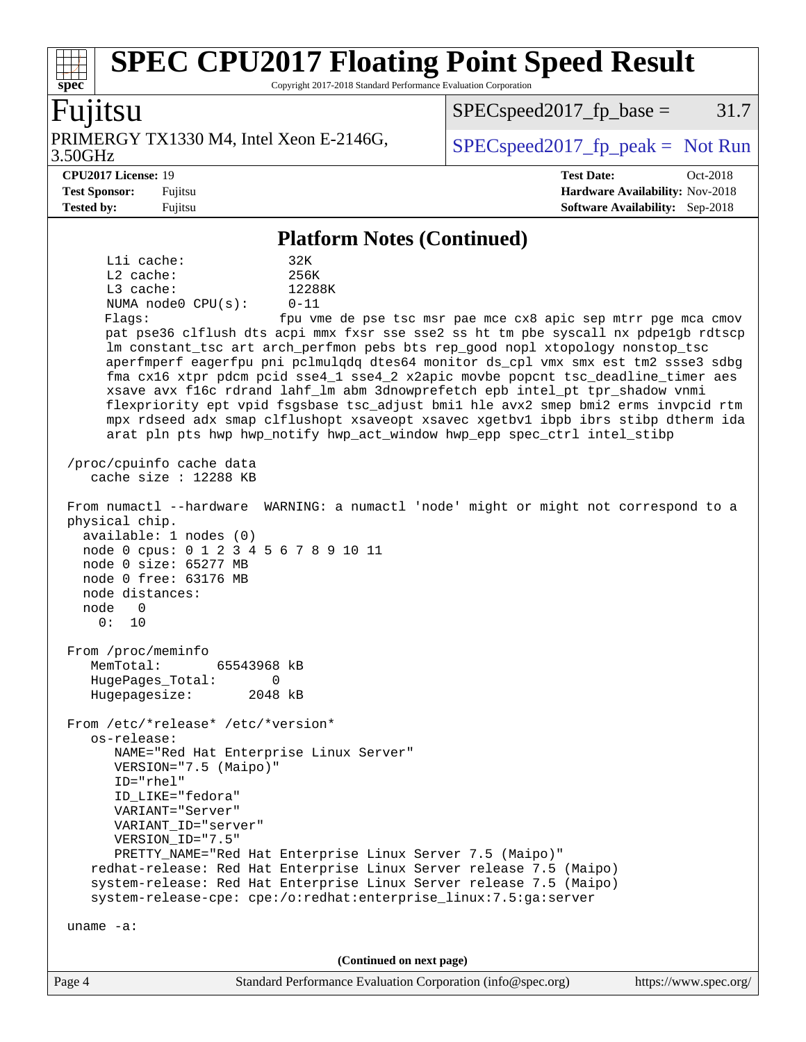Copyright 2017-2018 Standard Performance Evaluation Corporation

### Fujitsu

**[spec](http://www.spec.org/)**

3.50GHz PRIMERGY TX1330 M4, Intel Xeon E-2146G,  $\vert$  [SPECspeed2017\\_fp\\_peak =](http://www.spec.org/auto/cpu2017/Docs/result-fields.html#SPECspeed2017fppeak) Not Run

 $SPEC speed2017_fp\_base = 31.7$ 

**[Tested by:](http://www.spec.org/auto/cpu2017/Docs/result-fields.html#Testedby)** Fujitsu **[Software Availability:](http://www.spec.org/auto/cpu2017/Docs/result-fields.html#SoftwareAvailability)** Sep-2018

**[CPU2017 License:](http://www.spec.org/auto/cpu2017/Docs/result-fields.html#CPU2017License)** 19 **[Test Date:](http://www.spec.org/auto/cpu2017/Docs/result-fields.html#TestDate)** Oct-2018 **[Test Sponsor:](http://www.spec.org/auto/cpu2017/Docs/result-fields.html#TestSponsor)** Fujitsu **[Hardware Availability:](http://www.spec.org/auto/cpu2017/Docs/result-fields.html#HardwareAvailability)** Nov-2018

#### **[Platform Notes \(Continued\)](http://www.spec.org/auto/cpu2017/Docs/result-fields.html#PlatformNotes)**

L1i cache: 32K L2 cache: 256K L3 cache: 12288K NUMA node0 CPU(s): 0-11 Flags: fpu vme de pse tsc msr pae mce cx8 apic sep mtrr pge mca cmov pat pse36 clflush dts acpi mmx fxsr sse sse2 ss ht tm pbe syscall nx pdpe1gb rdtscp lm constant\_tsc art arch\_perfmon pebs bts rep\_good nopl xtopology nonstop\_tsc aperfmperf eagerfpu pni pclmulqdq dtes64 monitor ds\_cpl vmx smx est tm2 ssse3 sdbg fma cx16 xtpr pdcm pcid sse4\_1 sse4\_2 x2apic movbe popcnt tsc\_deadline\_timer aes xsave avx f16c rdrand lahf\_lm abm 3dnowprefetch epb intel\_pt tpr\_shadow vnmi flexpriority ept vpid fsgsbase tsc\_adjust bmi1 hle avx2 smep bmi2 erms invpcid rtm mpx rdseed adx smap clflushopt xsaveopt xsavec xgetbv1 ibpb ibrs stibp dtherm ida arat pln pts hwp hwp\_notify hwp\_act\_window hwp\_epp spec\_ctrl intel\_stibp /proc/cpuinfo cache data cache size : 12288 KB From numactl --hardware WARNING: a numactl 'node' might or might not correspond to a physical chip. available: 1 nodes (0) node 0 cpus: 0 1 2 3 4 5 6 7 8 9 10 11 node 0 size: 65277 MB node 0 free: 63176 MB node distances: node 0 0: 10 From /proc/meminfo MemTotal: 65543968 kB HugePages\_Total: 0 Hugepagesize: 2048 kB From /etc/\*release\* /etc/\*version\* os-release: NAME="Red Hat Enterprise Linux Server" VERSION="7.5 (Maipo)" ID="rhel" ID\_LIKE="fedora" VARIANT="Server" VARIANT\_ID="server" VERSION\_ID="7.5" PRETTY\_NAME="Red Hat Enterprise Linux Server 7.5 (Maipo)" redhat-release: Red Hat Enterprise Linux Server release 7.5 (Maipo) system-release: Red Hat Enterprise Linux Server release 7.5 (Maipo) system-release-cpe: cpe:/o:redhat:enterprise\_linux:7.5:ga:server uname -a: **(Continued on next page)**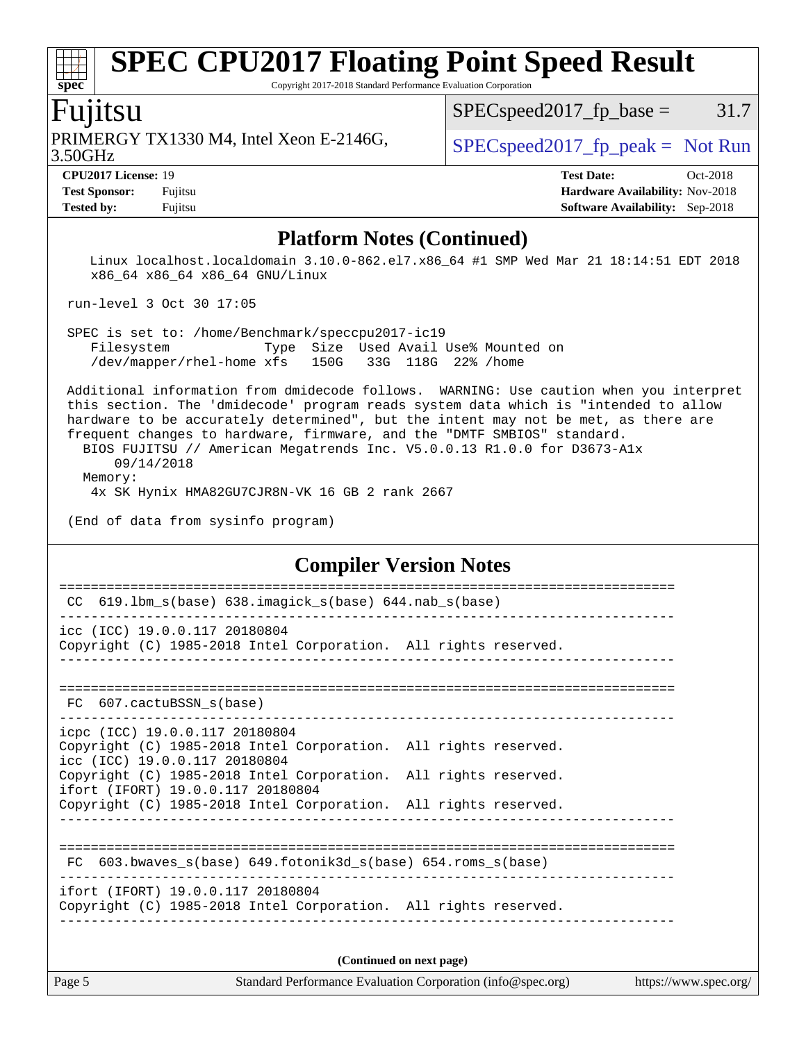Copyright 2017-2018 Standard Performance Evaluation Corporation

## Fujitsu

3.50GHz PRIMERGY TX1330 M4, Intel Xeon E-2146G,  $\vert$  [SPECspeed2017\\_fp\\_peak =](http://www.spec.org/auto/cpu2017/Docs/result-fields.html#SPECspeed2017fppeak) Not Run

 $SPEC speed2017_fp\_base = 31.7$ 

**[spec](http://www.spec.org/)**

**[Tested by:](http://www.spec.org/auto/cpu2017/Docs/result-fields.html#Testedby)** Fujitsu **[Software Availability:](http://www.spec.org/auto/cpu2017/Docs/result-fields.html#SoftwareAvailability)** Sep-2018

**[CPU2017 License:](http://www.spec.org/auto/cpu2017/Docs/result-fields.html#CPU2017License)** 19 **[Test Date:](http://www.spec.org/auto/cpu2017/Docs/result-fields.html#TestDate)** Oct-2018 **[Test Sponsor:](http://www.spec.org/auto/cpu2017/Docs/result-fields.html#TestSponsor)** Fujitsu **[Hardware Availability:](http://www.spec.org/auto/cpu2017/Docs/result-fields.html#HardwareAvailability)** Nov-2018

### **[Platform Notes \(Continued\)](http://www.spec.org/auto/cpu2017/Docs/result-fields.html#PlatformNotes)**

 Linux localhost.localdomain 3.10.0-862.el7.x86\_64 #1 SMP Wed Mar 21 18:14:51 EDT 2018 x86\_64 x86\_64 x86\_64 GNU/Linux

run-level 3 Oct 30 17:05

 SPEC is set to: /home/Benchmark/speccpu2017-ic19 Filesystem Type Size Used Avail Use% Mounted on /dev/mapper/rhel-home xfs 150G 33G 118G 22% /home

 Additional information from dmidecode follows. WARNING: Use caution when you interpret this section. The 'dmidecode' program reads system data which is "intended to allow hardware to be accurately determined", but the intent may not be met, as there are frequent changes to hardware, firmware, and the "DMTF SMBIOS" standard.

 BIOS FUJITSU // American Megatrends Inc. V5.0.0.13 R1.0.0 for D3673-A1x 09/14/2018 Memory:

4x SK Hynix HMA82GU7CJR8N-VK 16 GB 2 rank 2667

(End of data from sysinfo program)

#### **[Compiler Version Notes](http://www.spec.org/auto/cpu2017/Docs/result-fields.html#CompilerVersionNotes)**

| 619.1bm_s(base) 638.imagick_s(base) 644.nab_s(base)<br>CC                                                                          |  |  |  |  |  |  |
|------------------------------------------------------------------------------------------------------------------------------------|--|--|--|--|--|--|
| icc (ICC) 19.0.0.117 20180804<br>Copyright (C) 1985-2018 Intel Corporation. All rights reserved.                                   |  |  |  |  |  |  |
| FC 607.cactuBSSN_s(base)                                                                                                           |  |  |  |  |  |  |
| icpc (ICC) 19.0.0.117 20180804<br>Copyright (C) 1985-2018 Intel Corporation. All rights reserved.<br>icc (ICC) 19.0.0.117 20180804 |  |  |  |  |  |  |
| Copyright (C) 1985-2018 Intel Corporation. All rights reserved.<br>ifort (IFORT) 19.0.0.117 20180804                               |  |  |  |  |  |  |
| Copyright (C) 1985-2018 Intel Corporation. All rights reserved.                                                                    |  |  |  |  |  |  |
| 603.bwaves $s(base)$ 649.fotonik3d $s(base)$ 654.roms $s(base)$<br>FC                                                              |  |  |  |  |  |  |
| ifort (IFORT) 19.0.0.117 20180804<br>Copyright (C) 1985-2018 Intel Corporation. All rights reserved.                               |  |  |  |  |  |  |
| (Continued on next page)                                                                                                           |  |  |  |  |  |  |

Page 5 Standard Performance Evaluation Corporation [\(info@spec.org\)](mailto:info@spec.org) <https://www.spec.org/>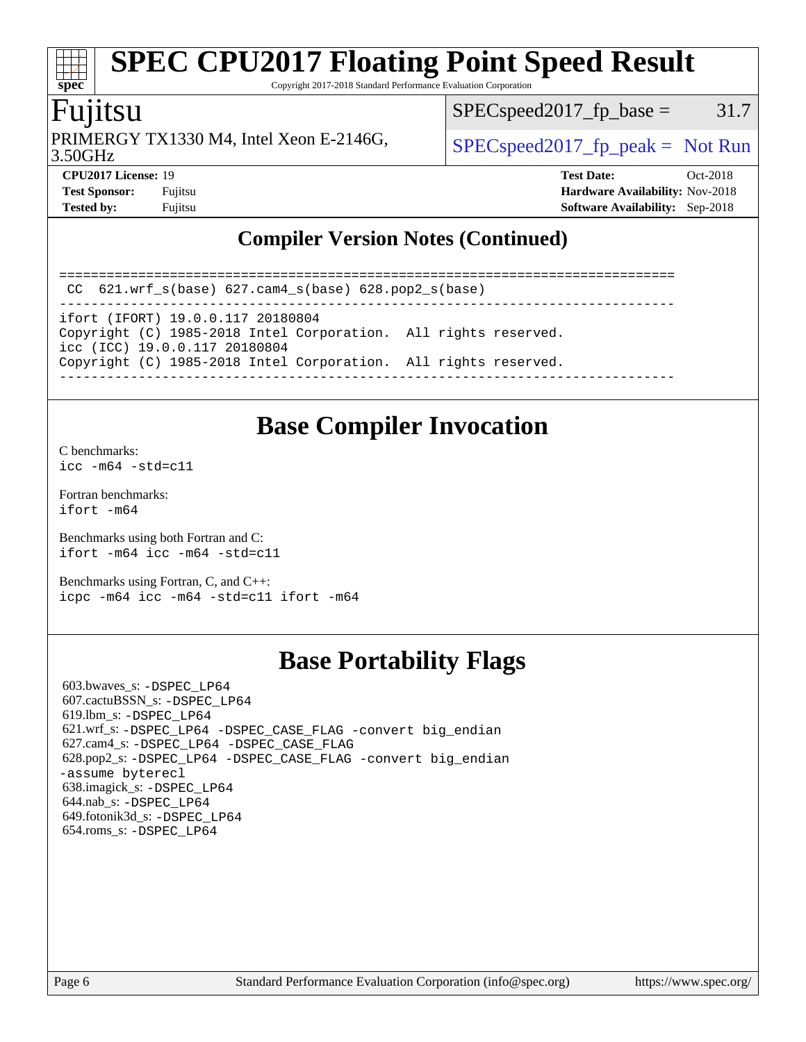Copyright 2017-2018 Standard Performance Evaluation Corporation

# Fujitsu

**[spec](http://www.spec.org/)**

3.50GHz PRIMERGY TX1330 M4, Intel Xeon E-2146G,  $\vert$  [SPECspeed2017\\_fp\\_peak =](http://www.spec.org/auto/cpu2017/Docs/result-fields.html#SPECspeed2017fppeak) Not Run

 $SPEC speed2017_fp\_base = 31.7$ 

**[CPU2017 License:](http://www.spec.org/auto/cpu2017/Docs/result-fields.html#CPU2017License)** 19 **[Test Date:](http://www.spec.org/auto/cpu2017/Docs/result-fields.html#TestDate)** Oct-2018 **[Test Sponsor:](http://www.spec.org/auto/cpu2017/Docs/result-fields.html#TestSponsor)** Fujitsu **[Hardware Availability:](http://www.spec.org/auto/cpu2017/Docs/result-fields.html#HardwareAvailability)** Nov-2018 **[Tested by:](http://www.spec.org/auto/cpu2017/Docs/result-fields.html#Testedby)** Fujitsu **[Software Availability:](http://www.spec.org/auto/cpu2017/Docs/result-fields.html#SoftwareAvailability)** Sep-2018

### **[Compiler Version Notes \(Continued\)](http://www.spec.org/auto/cpu2017/Docs/result-fields.html#CompilerVersionNotes)**

==============================================================================

 CC 621.wrf\_s(base) 627.cam4\_s(base) 628.pop2\_s(base) ------------------------------------------------------------------------------

ifort (IFORT) 19.0.0.117 20180804

Copyright (C) 1985-2018 Intel Corporation. All rights reserved. icc (ICC) 19.0.0.117 20180804

Copyright (C) 1985-2018 Intel Corporation. All rights reserved.

------------------------------------------------------------------------------

## **[Base Compiler Invocation](http://www.spec.org/auto/cpu2017/Docs/result-fields.html#BaseCompilerInvocation)**

[C benchmarks](http://www.spec.org/auto/cpu2017/Docs/result-fields.html#Cbenchmarks):  $icc - m64 - std = c11$ 

[Fortran benchmarks](http://www.spec.org/auto/cpu2017/Docs/result-fields.html#Fortranbenchmarks): [ifort -m64](http://www.spec.org/cpu2017/results/res2018q4/cpu2017-20181113-09798.flags.html#user_FCbase_intel_ifort_64bit_24f2bb282fbaeffd6157abe4f878425411749daecae9a33200eee2bee2fe76f3b89351d69a8130dd5949958ce389cf37ff59a95e7a40d588e8d3a57e0c3fd751)

[Benchmarks using both Fortran and C](http://www.spec.org/auto/cpu2017/Docs/result-fields.html#BenchmarksusingbothFortranandC): [ifort -m64](http://www.spec.org/cpu2017/results/res2018q4/cpu2017-20181113-09798.flags.html#user_CC_FCbase_intel_ifort_64bit_24f2bb282fbaeffd6157abe4f878425411749daecae9a33200eee2bee2fe76f3b89351d69a8130dd5949958ce389cf37ff59a95e7a40d588e8d3a57e0c3fd751) [icc -m64 -std=c11](http://www.spec.org/cpu2017/results/res2018q4/cpu2017-20181113-09798.flags.html#user_CC_FCbase_intel_icc_64bit_c11_33ee0cdaae7deeeab2a9725423ba97205ce30f63b9926c2519791662299b76a0318f32ddfffdc46587804de3178b4f9328c46fa7c2b0cd779d7a61945c91cd35)

[Benchmarks using Fortran, C, and C++:](http://www.spec.org/auto/cpu2017/Docs/result-fields.html#BenchmarksusingFortranCandCXX) [icpc -m64](http://www.spec.org/cpu2017/results/res2018q4/cpu2017-20181113-09798.flags.html#user_CC_CXX_FCbase_intel_icpc_64bit_4ecb2543ae3f1412ef961e0650ca070fec7b7afdcd6ed48761b84423119d1bf6bdf5cad15b44d48e7256388bc77273b966e5eb805aefd121eb22e9299b2ec9d9) [icc -m64 -std=c11](http://www.spec.org/cpu2017/results/res2018q4/cpu2017-20181113-09798.flags.html#user_CC_CXX_FCbase_intel_icc_64bit_c11_33ee0cdaae7deeeab2a9725423ba97205ce30f63b9926c2519791662299b76a0318f32ddfffdc46587804de3178b4f9328c46fa7c2b0cd779d7a61945c91cd35) [ifort -m64](http://www.spec.org/cpu2017/results/res2018q4/cpu2017-20181113-09798.flags.html#user_CC_CXX_FCbase_intel_ifort_64bit_24f2bb282fbaeffd6157abe4f878425411749daecae9a33200eee2bee2fe76f3b89351d69a8130dd5949958ce389cf37ff59a95e7a40d588e8d3a57e0c3fd751)

# **[Base Portability Flags](http://www.spec.org/auto/cpu2017/Docs/result-fields.html#BasePortabilityFlags)**

 603.bwaves\_s: [-DSPEC\\_LP64](http://www.spec.org/cpu2017/results/res2018q4/cpu2017-20181113-09798.flags.html#suite_basePORTABILITY603_bwaves_s_DSPEC_LP64) 607.cactuBSSN\_s: [-DSPEC\\_LP64](http://www.spec.org/cpu2017/results/res2018q4/cpu2017-20181113-09798.flags.html#suite_basePORTABILITY607_cactuBSSN_s_DSPEC_LP64) 619.lbm\_s: [-DSPEC\\_LP64](http://www.spec.org/cpu2017/results/res2018q4/cpu2017-20181113-09798.flags.html#suite_basePORTABILITY619_lbm_s_DSPEC_LP64) 621.wrf\_s: [-DSPEC\\_LP64](http://www.spec.org/cpu2017/results/res2018q4/cpu2017-20181113-09798.flags.html#suite_basePORTABILITY621_wrf_s_DSPEC_LP64) [-DSPEC\\_CASE\\_FLAG](http://www.spec.org/cpu2017/results/res2018q4/cpu2017-20181113-09798.flags.html#b621.wrf_s_baseCPORTABILITY_DSPEC_CASE_FLAG) [-convert big\\_endian](http://www.spec.org/cpu2017/results/res2018q4/cpu2017-20181113-09798.flags.html#user_baseFPORTABILITY621_wrf_s_convert_big_endian_c3194028bc08c63ac5d04de18c48ce6d347e4e562e8892b8bdbdc0214820426deb8554edfa529a3fb25a586e65a3d812c835984020483e7e73212c4d31a38223) 627.cam4\_s: [-DSPEC\\_LP64](http://www.spec.org/cpu2017/results/res2018q4/cpu2017-20181113-09798.flags.html#suite_basePORTABILITY627_cam4_s_DSPEC_LP64) [-DSPEC\\_CASE\\_FLAG](http://www.spec.org/cpu2017/results/res2018q4/cpu2017-20181113-09798.flags.html#b627.cam4_s_baseCPORTABILITY_DSPEC_CASE_FLAG) 628.pop2\_s: [-DSPEC\\_LP64](http://www.spec.org/cpu2017/results/res2018q4/cpu2017-20181113-09798.flags.html#suite_basePORTABILITY628_pop2_s_DSPEC_LP64) [-DSPEC\\_CASE\\_FLAG](http://www.spec.org/cpu2017/results/res2018q4/cpu2017-20181113-09798.flags.html#b628.pop2_s_baseCPORTABILITY_DSPEC_CASE_FLAG) [-convert big\\_endian](http://www.spec.org/cpu2017/results/res2018q4/cpu2017-20181113-09798.flags.html#user_baseFPORTABILITY628_pop2_s_convert_big_endian_c3194028bc08c63ac5d04de18c48ce6d347e4e562e8892b8bdbdc0214820426deb8554edfa529a3fb25a586e65a3d812c835984020483e7e73212c4d31a38223) [-assume byterecl](http://www.spec.org/cpu2017/results/res2018q4/cpu2017-20181113-09798.flags.html#user_baseFPORTABILITY628_pop2_s_assume_byterecl_7e47d18b9513cf18525430bbf0f2177aa9bf368bc7a059c09b2c06a34b53bd3447c950d3f8d6c70e3faf3a05c8557d66a5798b567902e8849adc142926523472) 638.imagick\_s: [-DSPEC\\_LP64](http://www.spec.org/cpu2017/results/res2018q4/cpu2017-20181113-09798.flags.html#suite_basePORTABILITY638_imagick_s_DSPEC_LP64) 644.nab\_s: [-DSPEC\\_LP64](http://www.spec.org/cpu2017/results/res2018q4/cpu2017-20181113-09798.flags.html#suite_basePORTABILITY644_nab_s_DSPEC_LP64) 649.fotonik3d\_s: [-DSPEC\\_LP64](http://www.spec.org/cpu2017/results/res2018q4/cpu2017-20181113-09798.flags.html#suite_basePORTABILITY649_fotonik3d_s_DSPEC_LP64) 654.roms\_s: [-DSPEC\\_LP64](http://www.spec.org/cpu2017/results/res2018q4/cpu2017-20181113-09798.flags.html#suite_basePORTABILITY654_roms_s_DSPEC_LP64)